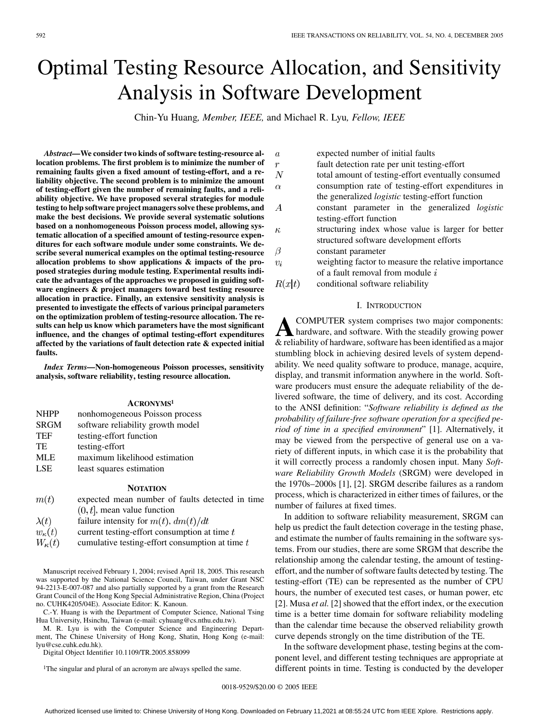# Optimal Testing Resource Allocation, and Sensitivity Analysis in Software Development

Chin-Yu Huang*, Member, IEEE,* and Michael R. Lyu*, Fellow, IEEE*

*Abstract—***We consider two kinds of software testing-resource allocation problems. The first problem is to minimize the number of remaining faults given a fixed amount of testing-effort, and a reliability objective. The second problem is to minimize the amount of testing-effort given the number of remaining faults, and a reliability objective. We have proposed several strategies for module testing to help software project managers solve these problems, and make the best decisions. We provide several systematic solutions based on a nonhomogeneous Poisson process model, allowing systematic allocation of a specified amount of testing-resource expenditures for each software module under some constraints. We describe several numerical examples on the optimal testing-resource allocation problems to show applications & impacts of the proposed strategies during module testing. Experimental results indicate the advantages of the approaches we proposed in guiding software engineers & project managers toward best testing resource allocation in practice. Finally, an extensive sensitivity analysis is presented to investigate the effects of various principal parameters on the optimization problem of testing-resource allocation. The results can help us know which parameters have the most significant influence, and the changes of optimal testing-effort expenditures affected by the variations of fault detection rate & expected initial faults.**

*Index Terms—***Non-homogeneous Poisson processes, sensitivity analysis, software reliability, testing resource allocation.**

## **ACRONYMS1**

| <b>NHPP</b> | nonhomogeneous Poisson process    |
|-------------|-----------------------------------|
| <b>SRGM</b> | software reliability growth model |
| <b>TEF</b>  | testing-effort function           |
| TE.         | testing-effort                    |
| MLE         | maximum likelihood estimation     |
| <b>LSE</b>  | least squares estimation          |
|             |                                   |

#### **NOTATION**

- $m(t)$ expected mean number of faults detected in time  $(0, t]$ , mean value function failure intensity for  $m(t)$ ,  $dm(t)/dt$  $\lambda(t)$
- 
- $w_{\kappa}(t)$ current testing-effort consumption at time  $t$
- $W_{\kappa}(t)$ cumulative testing-effort consumption at time  $t$

Manuscript received February 1, 2004; revised April 18, 2005. This research was supported by the National Science Council, Taiwan, under Grant NSC 94-2213-E-007-087 and also partially supported by a grant from the Research Grant Council of the Hong Kong Special Administrative Region, China (Project no. CUHK4205/04E). Associate Editor: K. Kanoun.

C.-Y. Huang is with the Department of Computer Science, National Tsing Hua University, Hsinchu, Taiwan (e-mail: cyhuang@cs.nthu.edu.tw).

M. R. Lyu is with the Computer Science and Engineering Department, The Chinese University of Hong Kong, Shatin, Hong Kong (e-mail: lyu@cse.cuhk.edu.hk).

Digital Object Identifier 10.1109/TR.2005.858099

<sup>1</sup>The singular and plural of an acronym are always spelled the same.

| $\boldsymbol{a}$ | expected number of initial faults                       |
|------------------|---------------------------------------------------------|
| $\boldsymbol{r}$ | fault detection rate per unit testing-effort            |
| N                | total amount of testing-effort eventually consumed      |
| $\alpha$         | consumption rate of testing-effort expenditures in      |
|                  | the generalized <i>logistic</i> testing-effort function |
| A                | constant parameter in the generalized logistic          |
|                  | testing-effort function                                 |
| $\kappa$         | structuring index whose value is larger for better      |
|                  | structured software development efforts                 |
| $\beta$          | constant parameter                                      |
| $v_i$            | weighting factor to measure the relative importance     |
|                  | of a fault removal from module i                        |
| R(x t)           | conditional software reliability                        |

#### I. INTRODUCTION

**A**COMPUTER system comprises two major components:<br>
hardware, and software. With the steadily growing power & reliability of hardware, software has been identified as a major stumbling block in achieving desired levels of system dependability. We need quality software to produce, manage, acquire, display, and transmit information anywhere in the world. Software producers must ensure the adequate reliability of the delivered software, the time of delivery, and its cost. According to the ANSI definition: "*Software reliability is defined as the probability of failure-free software operation for a specified period of time in a specified environment*" [[1\]](#page-10-0). Alternatively, it may be viewed from the perspective of general use on a variety of different inputs, in which case it is the probability that it will correctly process a randomly chosen input. Many *Software Reliability Growth Models* (SRGM) were developed in the 1970s–2000s [[1\]](#page-10-0), [[2\]](#page-10-0). SRGM describe failures as a random process, which is characterized in either times of failures, or the number of failures at fixed times.

In addition to software reliability measurement, SRGM can help us predict the fault detection coverage in the testing phase, and estimate the number of faults remaining in the software systems. From our studies, there are some SRGM that describe the relationship among the calendar testing, the amount of testingeffort, and the number of software faults detected by testing. The testing-effort (TE) can be represented as the number of CPU hours, the number of executed test cases, or human power, etc. [[2\]](#page-10-0). Musa *et al.* [\[2](#page-10-0)] showed that the effort index, or the execution time is a better time domain for software reliability modeling than the calendar time because the observed reliability growth curve depends strongly on the time distribution of the TE.

In the software development phase, testing begins at the component level, and different testing techniques are appropriate at different points in time. Testing is conducted by the developer

0018-9529/\$20.00 © 2005 IEEE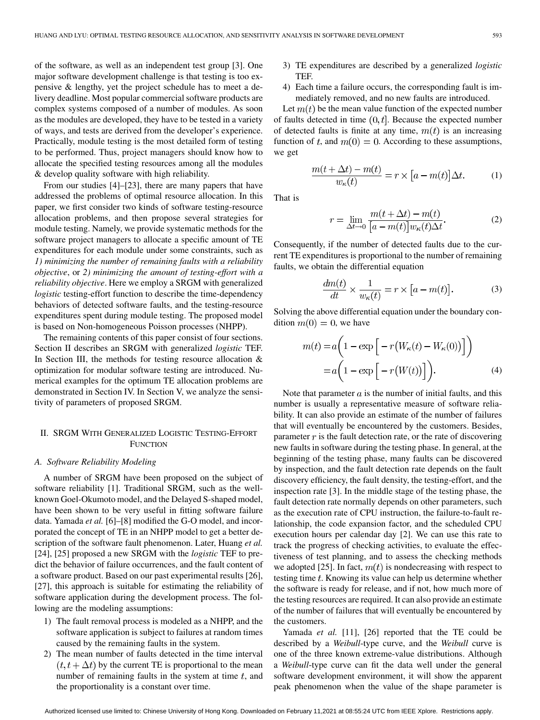of the software, as well as an independent test group [[3\]](#page-10-0). One major software development challenge is that testing is too expensive & lengthy, yet the project schedule has to meet a delivery deadline. Most popular commercial software products are complex systems composed of a number of modules. As soon as the modules are developed, they have to be tested in a variety of ways, and tests are derived from the developer's experience. Practically, module testing is the most detailed form of testing to be performed. Thus, project managers should know how to allocate the specified testing resources among all the modules & develop quality software with high reliability.

From our studies [[4\]](#page-10-0)–[\[23](#page-10-0)], there are many papers that have addressed the problems of optimal resource allocation. In this paper, we first consider two kinds of software testing-resource allocation problems, and then propose several strategies for module testing. Namely, we provide systematic methods for the software project managers to allocate a specific amount of TE expenditures for each module under some constraints, such as *1) minimizing the number of remaining faults with a reliability objective*, or *2) minimizing the amount of testing-effort with a reliability objective*. Here we employ a SRGM with generalized *logistic* testing-effort function to describe the time-dependency behaviors of detected software faults, and the testing-resource expenditures spent during module testing. The proposed model is based on Non-homogeneous Poisson processes (NHPP).

The remaining contents of this paper consist of four sections. Section II describes an SRGM with generalized *logistic* TEF. In Section III, the methods for testing resource allocation  $\&$ optimization for modular software testing are introduced. Numerical examples for the optimum TE allocation problems are demonstrated in Section IV. In Section V, we analyze the sensitivity of parameters of proposed SRGM.

## II. SRGM WITH GENERALIZED LOGISTIC TESTING-EFFORT **FUNCTION**

#### *A. Software Reliability Modeling*

A number of SRGM have been proposed on the subject of software reliability [[1\]](#page-10-0). Traditional SRGM, such as the wellknown Goel-Okumoto model, and the Delayed S-shaped model, have been shown to be very useful in fitting software failure data. Yamada *et al.* [[6\]](#page-10-0)–[\[8](#page-10-0)] modified the G-O model, and incorporated the concept of TE in an NHPP model to get a better description of the software fault phenomenon. Later, Huang *et al.* [\[24](#page-11-0)], [\[25](#page-11-0)] proposed a new SRGM with the *logistic* TEF to predict the behavior of failure occurrences, and the fault content of a software product. Based on our past experimental results [\[26](#page-11-0)], [\[27](#page-11-0)], this approach is suitable for estimating the reliability of software application during the development process. The following are the modeling assumptions:

- 1) The fault removal process is modeled as a NHPP, and the software application is subject to failures at random times caused by the remaining faults in the system.
- 2) The mean number of faults detected in the time interval  $(t, t + \Delta t)$  by the current TE is proportional to the mean number of remaining faults in the system at time  $t$ , and the proportionality is a constant over time.
- 3) TE expenditures are described by a generalized *logistic* TEF.
- 4) Each time a failure occurs, the corresponding fault is immediately removed, and no new faults are introduced.

Let  $m(t)$  be the mean value function of the expected number of faults detected in time  $(0, t]$ . Because the expected number of detected faults is finite at any time,  $m(t)$  is an increasing function of t, and  $m(0) = 0$ . According to these assumptions, we get

$$
\frac{m(t + \Delta t) - m(t)}{w_{\kappa}(t)} = r \times [a - m(t)] \Delta t.
$$
 (1)

That is

$$
r = \lim_{\Delta t \to 0} \frac{m(t + \Delta t) - m(t)}{[a - m(t)] w_{\kappa}(t) \Delta t}.
$$
 (2)

Consequently, if the number of detected faults due to the current TE expenditures is proportional to the number of remaining faults, we obtain the differential equation

$$
\frac{dm(t)}{dt} \times \frac{1}{w_{\kappa}(t)} = r \times [a - m(t)].
$$
 (3)

Solving the above differential equation under the boundary condition  $m(0) = 0$ , we have

$$
m(t) = a\left(1 - \exp\left[-r\left(W_{\kappa}(t) - W_{\kappa}(0)\right)\right]\right)
$$

$$
= a\left(1 - \exp\left[-r\left(W(t)\right)\right]\right).
$$
 (4)

Note that parameter  $a$  is the number of initial faults, and this number is usually a representative measure of software reliability. It can also provide an estimate of the number of failures that will eventually be encountered by the customers. Besides, parameter  $\bar{r}$  is the fault detection rate, or the rate of discovering new faults in software during the testing phase. In general, at the beginning of the testing phase, many faults can be discovered by inspection, and the fault detection rate depends on the fault discovery efficiency, the fault density, the testing-effort, and the inspection rate [\[3](#page-10-0)]. In the middle stage of the testing phase, the fault detection rate normally depends on other parameters, such as the execution rate of CPU instruction, the failure-to-fault relationship, the code expansion factor, and the scheduled CPU execution hours per calendar day [\[2](#page-10-0)]. We can use this rate to track the progress of checking activities, to evaluate the effectiveness of test planning, and to assess the checking methods we adopted [[25\]](#page-11-0). In fact,  $m(t)$  is nondecreasing with respect to testing time  $t$ . Knowing its value can help us determine whether the software is ready for release, and if not, how much more of the testing resources are required. It can also provide an estimate of the number of failures that will eventually be encountered by the customers.

Yamada *et al.* [[11\]](#page-10-0), [[26\]](#page-11-0) reported that the TE could be described by a *Weibull*-type curve, and the *Weibull* curve is one of the three known extreme-value distributions. Although a *Weibull*-type curve can fit the data well under the general software development environment, it will show the apparent peak phenomenon when the value of the shape parameter is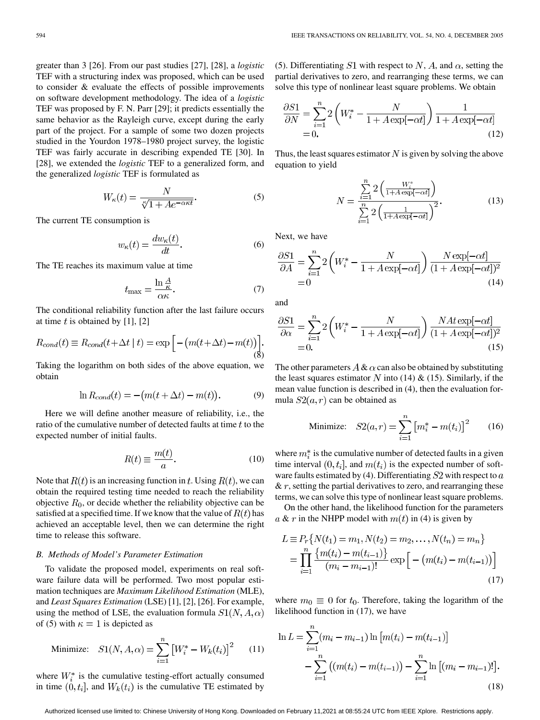greater than 3 [\[26](#page-11-0)]. From our past studies [\[27](#page-11-0)], [\[28](#page-11-0)], a *logistic* TEF with a structuring index was proposed, which can be used to consider & evaluate the effects of possible improvements on software development methodology. The idea of a *logistic* TEF was proposed by F. N. Parr [\[29](#page-11-0)]; it predicts essentially the same behavior as the Rayleigh curve, except during the early part of the project. For a sample of some two dozen projects studied in the Yourdon 1978–1980 project survey, the logistic TEF was fairly accurate in describing expended TE [[30\]](#page-11-0). In [[28\]](#page-11-0), we extended the *logistic* TEF to a generalized form, and the generalized *logistic* TEF is formulated as

$$
W_{\kappa}(t) = \frac{N}{\sqrt[\kappa]{1 + Ae^{-\alpha \kappa t}}}.
$$
\n(5)

The current TE consumption is

$$
w_{\kappa}(t) = \frac{dw_{\kappa}(t)}{dt}.
$$
 (6)

The TE reaches its maximum value at time

$$
t_{\max} = \frac{\ln \frac{A}{\kappa}}{\alpha \kappa}.
$$
 (7)

The conditional reliability function after the last failure occurs at time  $t$  is obtained by [\[1](#page-10-0)], [\[2](#page-10-0)]

$$
R_{cond}(t) \equiv R_{cond}(t + \Delta t \mid t) = \exp\left[-\left(m(t + \Delta t) - m(t)\right)\right].
$$
\n(8)

Taking the logarithm on both sides of the above equation, we obtain

$$
\ln R_{cond}(t) = -(m(t + \Delta t) - m(t)).\tag{9}
$$

Here we will define another measure of reliability, i.e., the ratio of the cumulative number of detected faults at time  $t$  to the expected number of initial faults.

$$
R(t) \equiv \frac{m(t)}{a}.
$$
 (10)

Note that  $R(t)$  is an increasing function in t. Using  $R(t)$ , we can obtain the required testing time needed to reach the reliability objective  $R_0$ , or decide whether the reliability objective can be satisfied at a specified time. If we know that the value of  $R(t)$  has achieved an acceptable level, then we can determine the right time to release this software.

## *B. Methods of Model's Parameter Estimation*

To validate the proposed model, experiments on real software failure data will be performed. Two most popular estimation techniques are *Maximum Likelihood Estimation* (MLE), and *Least Squares Estimation* (LSE) [[1\]](#page-10-0), [[2\]](#page-10-0), [[26\]](#page-11-0). For example, using the method of LSE, the evaluation formula  $S1(N, A, \alpha)$ of (5) with  $\kappa = 1$  is depicted as

Minimize: 
$$
S1(N, A, \alpha) = \sum_{i=1}^{n} [W_i^* - W_k(t_i)]^2
$$
 (11)

where  $W_i^*$  is the cumulative testing-effort actually consumed in time  $(0, t_i]$ , and  $W_k(t_i)$  is the cumulative TE estimated by

(5). Differentiating S1 with respect to N, A, and  $\alpha$ , setting the partial derivatives to zero, and rearranging these terms, we can solve this type of nonlinear least square problems. We obtain

$$
\frac{\partial S1}{\partial N} = \sum_{i=1}^{n} 2\left(W_i^* - \frac{N}{1 + A\exp[-\alpha t]}\right) \frac{1}{1 + A\exp[-\alpha t]}
$$
  
= 0. (12)

Thus, the least squares estimator  $N$  is given by solving the above equation to yield

$$
N = \frac{\sum_{i=1}^{n} 2\left(\frac{W_i^*}{1 + A\exp[-\alpha t]}\right)}{\sum_{i=1}^{n} 2\left(\frac{1}{1 + A\exp[-\alpha t]}\right)^2}.
$$
 (13)

Next, we have

$$
\frac{\partial S1}{\partial A} = \sum_{i=1}^{n} 2\left(W_i^* - \frac{N}{1 + A\exp[-\alpha t]}\right) \frac{N\exp[-\alpha t]}{(1 + A\exp[-\alpha t])^2}
$$
  
= 0 (14)

and

$$
\frac{\partial S1}{\partial \alpha} = \sum_{i=1}^{n} 2 \left( W_i^* - \frac{N}{1 + A \exp[-\alpha t]} \right) \frac{NA t \exp[-\alpha t]}{(1 + A \exp[-\alpha t])^2}
$$
  
= 0. (15)

The other parameters  $A \& \alpha$  can also be obtained by substituting the least squares estimator N into (14)  $\&$  (15). Similarly, if the mean value function is described in (4), then the evaluation formula  $S2(a, r)$  can be obtained as

Minimize: 
$$
S2(a,r) = \sum_{i=1}^{n} [m_i^* - m(t_i)]^2
$$
 (16)

where  $m_i^*$  is the cumulative number of detected faults in a given time interval  $(0, t_i]$ , and  $m(t_i)$  is the expected number of software faults estimated by (4). Differentiating  $S2$  with respect to  $a$  $\&\,r$ , setting the partial derivatives to zero, and rearranging these terms, we can solve this type of nonlinear least square problems.

On the other hand, the likelihood function for the parameters a & r in the NHPP model with  $m(t)$  in (4) is given by

$$
L \equiv P_r \{ N(t_1) = m_1, N(t_2) = m_2, \dots, N(t_n) = m_n \}
$$
  
= 
$$
\prod_{i=1}^n \frac{\{ m(t_i) - m(t_{i-1}) \}}{(m_i - m_{i-1})!} \exp \left[ - \left( m(t_i) - m(t_{i-1}) \right) \right]
$$
 (17)

where  $m_0 \equiv 0$  for  $t_0$ . Therefore, taking the logarithm of the likelihood function in (17), we have

$$
\ln L = \sum_{i=1}^{n} (m_i - m_{i-1}) \ln [m(t_i) - m(t_{i-1})]
$$
  
 
$$
- \sum_{i=1}^{n} ((m(t_i) - m(t_{i-1})) - \sum_{i=1}^{n} \ln [(m_i - m_{i-1})!] .
$$
 (18)

Authorized licensed use limited to: Chinese University of Hong Kong. Downloaded on February 11,2021 at 08:55:24 UTC from IEEE Xplore. Restrictions apply.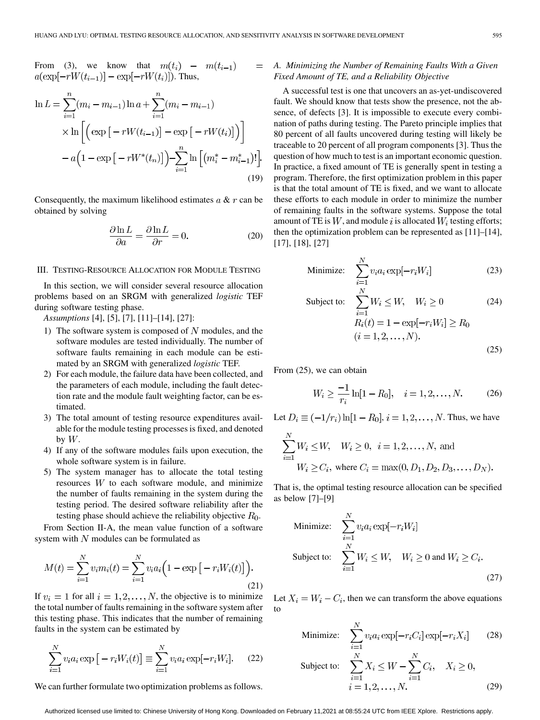$=$ 

From (3), we know that  $m(t_i)$  –  $m(t_{i-1})$  $a(\exp[-rW(t_{i-1})] - \exp[-rW(t_i)]$ ). Thus,

$$
\ln L = \sum_{i=1}^{n} (m_i - m_{i-1}) \ln a + \sum_{i=1}^{n} (m_i - m_{i-1})
$$
  
 
$$
\times \ln \left[ \left( \exp \left[ -rW(t_{i-1}) \right] - \exp \left[ -rW(t_i) \right] \right) \right]
$$
  
 
$$
- a \left( 1 - \exp \left[ -rW^*(t_n) \right] \right) - \sum_{i=1}^{n} \ln \left[ (m_i^* - m_{i-1}^*)! \right].
$$
  
(19)

Consequently, the maximum likelihood estimates  $a \& r$  can be obtained by solving

$$
\frac{\partial \ln L}{\partial a} = \frac{\partial \ln L}{\partial r} = 0.
$$
 (20)

#### III. TESTING-RESOURCE ALLOCATION FOR MODULE TESTING

In this section, we will consider several resource allocation problems based on an SRGM with generalized *logistic* TEF during software testing phase.

*Assumptions* [\[4](#page-10-0)], [\[5](#page-10-0)], [\[7\]](#page-10-0), [[11\]](#page-10-0)–[\[14](#page-10-0)], [\[27](#page-11-0)]:

- 1) The software system is composed of  $N$  modules, and the software modules are tested individually. The number of software faults remaining in each module can be estimated by an SRGM with generalized *logistic* TEF.
- 2) For each module, the failure data have been collected, and the parameters of each module, including the fault detection rate and the module fault weighting factor, can be estimated.
- 3) The total amount of testing resource expenditures available for the module testing processes is fixed, and denoted by  $W$ .
- 4) If any of the software modules fails upon execution, the whole software system is in failure.
- 5) The system manager has to allocate the total testing resources  $W$  to each software module, and minimize the number of faults remaining in the system during the testing period. The desired software reliability after the testing phase should achieve the reliability objective  $R_0$ .

From Section II-A, the mean value function of a software system with  $N$  modules can be formulated as

$$
M(t) = \sum_{i=1}^{N} v_i m_i(t) = \sum_{i=1}^{N} v_i a_i \left( 1 - \exp\left[ -r_i W_i(t) \right] \right).
$$
\n(21)

If  $v_i = 1$  for all  $i = 1, 2, ..., N$ , the objective is to minimize the total number of faults remaining in the software system after this testing phase. This indicates that the number of remaining faults in the system can be estimated by

$$
\sum_{i=1}^{N} v_i a_i \exp[-r_i W_i(t)] \equiv \sum_{i=1}^{N} v_i a_i \exp[-r_i W_i].
$$
 (22)

We can further formulate two optimization problems as follows.

# *A. Minimizing the Number of Remaining Faults With a Given Fixed Amount of TE, and a Reliability Objective*

A successful test is one that uncovers an as-yet-undiscovered fault. We should know that tests show the presence, not the absence, of defects [\[3](#page-10-0)]. It is impossible to execute every combination of paths during testing. The Pareto principle implies that 80 percent of all faults uncovered during testing will likely be traceable to 20 percent of all program components [[3\]](#page-10-0). Thus the question of how much to test is an important economic question. In practice, a fixed amount of TE is generally spent in testing a program. Therefore, the first optimization problem in this paper is that the total amount of TE is fixed, and we want to allocate these efforts to each module in order to minimize the number of remaining faults in the software systems. Suppose the total amount of TE is  $W$ , and module i is allocated  $W_i$  testing efforts; then the optimization problem can be represented as [[11\]](#page-10-0)–[\[14](#page-10-0)], [\[17](#page-10-0)], [\[18](#page-10-0)], [[27\]](#page-11-0)

Minimize: 
$$
\sum_{i=1}^{N} v_i a_i \exp[-r_i W_i]
$$
 (23)

Subject to: 
$$
\sum_{i=1}^{n} W_i \leq W, \quad W_i \geq 0 \tag{24}
$$

$$
R_i(t) = 1 - \exp[-r_i W_i] \geq R_0
$$

$$
(i = 1, 2, ..., N). \tag{25}
$$

From (25), we can obtain

$$
W_i \ge \frac{-1}{r_i} \ln[1 - R_0], \quad i = 1, 2, \dots, N. \tag{26}
$$

Let  $D_i \equiv (-1/r_i) \ln[1 - R_0], i = 1, 2, ..., N$ . Thus, we have

$$
\sum_{i=1}^{N} W_i \le W, \quad W_i \ge 0, \quad i = 1, 2, ..., N, \text{ and}
$$
  
 
$$
W_i \ge C_i, \text{ where } C_i = \max(0, D_1, D_2, D_3, ..., D_N).
$$

That is, the optimal testing resource allocation can be specified as below [[7\]](#page-10-0)–[\[9](#page-10-0)]

Minimize: 
$$
\sum_{i=1}^{N} v_i a_i \exp[-r_i W_i]
$$
  
Subject to: 
$$
\sum_{i=1}^{N} W_i \leq W, \quad W_i \geq 0 \text{ and } W_i \geq C_i.
$$
 (27)

Let  $X_i = W_i - C_i$ , then we can transform the above equations to

Minimize: 
$$
\sum_{i=1}^{N} v_i a_i \exp[-r_i C_i] \exp[-r_i X_i]
$$
 (28)  
Subject to: 
$$
\sum_{i=1}^{N} X_i \leq W - \sum_{i=1}^{N} C_i, \quad X_i \geq 0,
$$

$$
i = 1, 2, ..., N.
$$
 (29)

Authorized licensed use limited to: Chinese University of Hong Kong. Downloaded on February 11,2021 at 08:55:24 UTC from IEEE Xplore. Restrictions apply.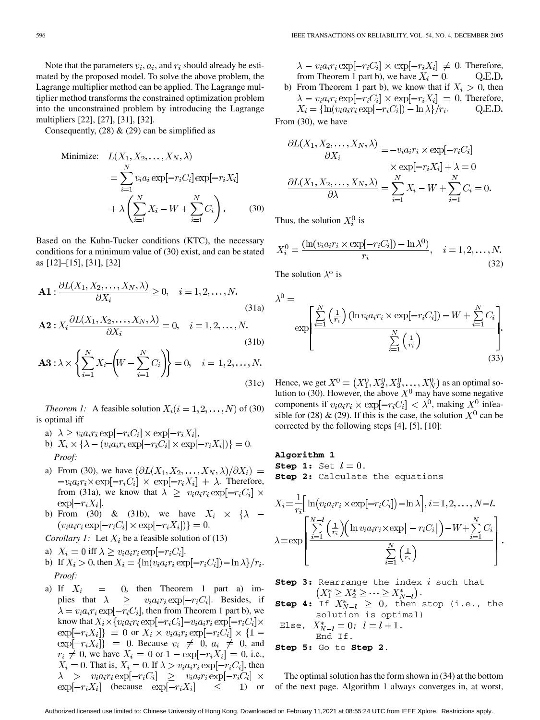Note that the parameters  $v_i$ ,  $a_i$ , and  $r_i$  should already be estimated by the proposed model. To solve the above problem, the Lagrange multiplier method can be applied. The Lagrange multiplier method transforms the constrained optimization problem into the unconstrained problem by introducing the Lagrange multipliers [[22\]](#page-10-0), [[27\]](#page-11-0), [[31\]](#page-11-0), [[32](#page-11-0)].

Consequently,  $(28)$  &  $(29)$  can be simplified as

Minimize: 
$$
L(X_1, X_2, \dots, X_N, \lambda)
$$

$$
= \sum_{i=1}^N v_i a_i \exp[-r_i C_i] \exp[-r_i X_i]
$$

$$
+ \lambda \left(\sum_{i=1}^N X_i - W + \sum_{i=1}^N C_i\right). \tag{30}
$$

Based on the Kuhn-Tucker conditions (KTC), the necessary conditions for a minimum value of (30) exist, and can be stated as [\[12](#page-10-0)]–[[15\]](#page-10-0), [[31\]](#page-11-0), [[32\]](#page-11-0)

$$
\mathbf{A1}: \frac{\partial L(X_1, X_2, \dots, X_N, \lambda)}{\partial X_i} \ge 0, \quad i = 1, 2, \dots, N.
$$
\n
$$
\mathbf{A2}: X_i \frac{\partial L(X_1, X_2, \dots, X_N, \lambda)}{\partial X_i} = 0, \quad i = 1, 2, \dots, N.
$$
\n(31a)

$$
\mathbf{A3} : \lambda \times \left\{ \sum_{i=1}^{N} X_i - \left( W - \sum_{i=1}^{N} C_i \right) \right\} = 0, \quad i = 1, 2, ..., N. \tag{31c}
$$

*Theorem 1:* A feasible solution  $X_i (i = 1, 2, ..., N)$  of (30) is optimal iff

- a)  $\lambda \ge v_i a_i r_i \exp[-r_i C_i] \times \exp[-r_i X_i],$
- b)  $X_i \times {\lambda (v_i a_i r_i \exp[-r_i C_i] \times \exp[-r_i X_i])} = 0.$ *Proof:*
- a) From (30), we have  $(\partial L(X_1, X_2, \ldots, X_N, \lambda)/\partial X_i)$  =  $-v_i a_i r_i \times \exp[-r_i C_i] \times \exp[-r_i X_i] + \lambda$ . Therefore, from (31a), we know that  $\lambda \ge v_i a_i r_i \exp[-r_i C_i] \times$  $\exp[-r_iX_i].$
- b) From (30) & (31b), we have  $X_i \times \{\lambda (v_i a_i r_i \exp[-r_i C_i] \times \exp[-r_i X_i])\} = 0.$
- *Corollary 1:* Let  $X_i$  be a feasible solution of (13)
- a)  $X_i = 0$  iff  $\lambda \ge v_i a_i r_i \exp[-r_i C_i]$ .
- b) If  $X_i > 0$ , then  $X_i = {\ln(v_i a_i r_i \exp[-r_i C_i]) \ln \lambda}/r_i$ . *Proof:*
- a) If  $X_i = 0$ , then Theorem 1 part a) implies that  $\lambda \geq v_i a_i r_i \exp[-r_i C_i]$ . Besides, if  $\lambda = v_i a_i r_i \exp[-r_i C_i]$ , then from Theorem 1 part b), we know that  $X_i \times \{v_i a_i r_i \exp[-r_i C_i] - v_i a_i r_i \exp[-r_i C_i] \times$  $\exp[-r_i X_i]$ } = 0 or  $X_i \times v_i a_i r_i \exp[-r_i C_i] \times \{1 \exp[-r_i X_i]$  = 0. Because  $v_i \neq 0$ ,  $a_i \neq 0$ , and  $r_i \neq 0$ , we have  $X_i = 0$  or  $1 - \exp[-r_i X_i] = 0$ , i.e.,  $X_i = 0$ . That is,  $X_i = 0$ . If  $\lambda > v_i a_i r_i \exp[-r_i C_i]$ , then  $\lambda > v_i a_i r_i \exp[-r_i C_i] \ge v_i a_i r_i \exp[-r_i C_i] \times$  $\exp[-r_i X_i]$  (because  $\exp[-r_i X_i] \leq 1$ ) or

 $\lambda - v_i a_i r_i \exp[-r_i C_i] \times \exp[-r_i X_i] \neq 0$ . Therefore, from Theorem 1 part b), we have  $X_i = 0$ . Q.E.D. b) From Theorem 1 part b), we know that if  $X_i > 0$ , then  $\lambda - v_i a_i r_i \exp[-r_i C_i] \times \exp[-r_i X_i] = 0$ . Therefore,  $X_i = {\ln(v_i a_i r_i \exp[-r_i C_i]) - \ln \lambda}/r_i.$ Q.E.D.

From (30), we have

$$
\frac{\partial L(X_1, X_2, \dots, X_N, \lambda)}{\partial X_i} = -v_i a_i r_i \times \exp[-r_i C_i]
$$

$$
\times \exp[-r_i X_i] + \lambda = 0
$$

$$
\frac{\partial L(X_1, X_2, \dots, X_N, \lambda)}{\partial \lambda} = \sum_{i=1}^N X_i - W + \sum_{i=1}^N C_i = 0.
$$

Thus, the solution  $X_i^0$  is

$$
X_i^0 = \frac{(\ln(v_i a_i r_i \times \exp[-r_i C_i]) - \ln \lambda^0)}{r_i}, \quad i = 1, 2, \dots, N.
$$
\n(32)

The solution  $\lambda^{\circ}$  is

$$
\lambda^{0} = \exp\left[\frac{\sum_{i=1}^{N} \left(\frac{1}{r_{i}}\right) (\ln v_{i} a_{i} r_{i} \times \exp[-r_{i} C_{i}]) - W + \sum_{i=1}^{N} C_{i}}{\sum_{i=1}^{N} \left(\frac{1}{r_{i}}\right)}\right].
$$
\n(33)

Hence, we get  $X^0 = (X_1^0, X_2^0, X_3^0, \dots, X_N^0)$  as an optimal solution to (30). However, the above  $X^0$  may have some negative components if  $v_i a_i r_i \times \exp[-r_i C_i] < \lambda^0$ , making  $X^0$  infeasible for (28) & (29). If this is the case, the solution  $X^0$  can be corrected by the following steps [[4\]](#page-10-0), [[5\]](#page-10-0), [\[10](#page-10-0)]:

## **Algorithm 1**

**Step 1:** Set  $l = 0$ . **Step 2:** Calculate the equations

$$
X_i = \frac{1}{r_i} \Bigg[ \ln \Big( v_i a_i r_i \times \exp[-r_i C_i] \Big) - \ln \lambda \Bigg], i = 1, 2, \dots, N - l.
$$

$$
\lambda = \exp \left[ \frac{\sum_{i=1}^{N-l} \Big( \frac{1}{r_i} \Big) \Big( \ln v_i a_i r_i \times \exp[-r_i C_i] \Big) - W + \sum_{i=1}^{N} C_i \Big)}{\sum_{i=1}^{N} \Big( \frac{1}{r_i} \Big)} \right]
$$

**Step 3:** Rearrange the index i such that . **Step 4:** If  $X_{N-1}^* \geq 0$ , then stop (i.e., the solution is optimal)

Else, 
$$
X_{N-l}^* = 0
$$
;  $l = l + 1$ .  
End If.  
Step 5: Go to Step 2.

The optimal solution has the form shown in (34) at the bottom of the next page. Algorithm 1 always converges in, at worst,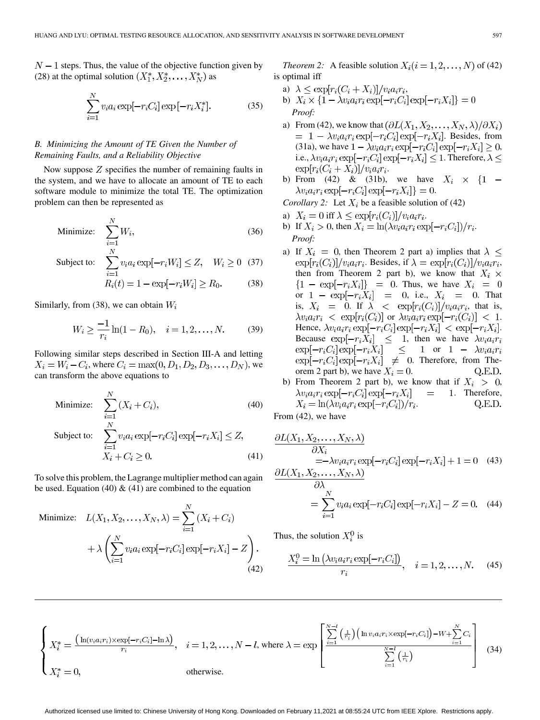$N-1$  steps. Thus, the value of the objective function given by (28) at the optimal solution  $(X_1^*, X_2^*, \ldots, X_N^*)$  as

$$
\sum_{i=1}^{N} v_i a_i \exp[-r_i C_i] \exp[-r_i X_i^*].
$$
 (35)

# *B. Minimizing the Amount of TE Given the Number of Remaining Faults, and a Reliability Objective*

Now suppose  $Z$  specifies the number of remaining faults in the system, and we have to allocate an amount of TE to each software module to minimize the total TE. The optimization problem can then be represented as

Minimize: 
$$
\sum_{i=1}^{N} W_i,
$$
 (36)

Subject to:  $\sum_{i=1}^{N} v_i a_i \exp[-r_i W_i] \leq Z, \quad W_i \geq 0 \quad (37)$ 

$$
R_i(t) = 1 - \exp[-r_i W_i] \ge R_0.
$$
 (38)

Similarly, from (38), we can obtain  $W_i$ 

$$
W_i \ge \frac{-1}{r_i} \ln(1 - R_0), \quad i = 1, 2, \dots, N. \tag{39}
$$

Following similar steps described in Section III-A and letting  $X_i = W_i - C_i$ , where  $C_i = \max(0, D_1, D_2, D_3, \dots, D_N)$ , we can transform the above equations to

Minimize: 
$$
\sum_{i=1}^{N} (X_i + C_i),
$$
\n(40)  
\nSubject to: 
$$
\sum_{i=1}^{N} v_i a_i \exp[-r_i C_i] \exp[-r_i X_i] \le Z,
$$
\n
$$
X_i + C_i \ge 0.
$$
\n(41)

To solve this problem, the Lagrange multiplier method can again be used. Equation (40)  $\&$  (41) are combined to the equation

Minimize: 
$$
L(X_1, X_2, ..., X_N, \lambda) = \sum_{i=1}^N (X_i + C_i)
$$
  
  $+ \lambda \left( \sum_{i=1}^N v_i a_i \exp[-r_i C_i] \exp[-r_i X_i] - Z \right).$  (42)

*Theorem 2:* A feasible solution  $X_i (i = 1, 2, ..., N)$  of (42) is optimal iff

- a)  $\lambda \leq \exp[r_i(C_i + X_i)]/v_i a_i r_i,$
- b) *Proof:*
- a) From (42), we know that  $(\partial L(X_1, X_2, \ldots, X_N, \lambda)/\partial X_i)$  $= 1 - \lambda v_i a_i r_i \exp[-r_i C_i] \exp[-r_i X_i]$ . Besides, from (31a), we have  $1 - \lambda v_i a_i r_i \exp[-r_i C_i] \exp[-r_i X_i] \geq 0$ , i.e.,  $\lambda v_i a_i r_i \exp[-r_i C_i] \exp[-r_i X_i] \leq 1$ . Therefore,  $\lambda \leq$  $\exp[r_i(C_i+X_i)]/v_ia_ir_i.$
- b) From (42) & (31b), we have  $X_i \times \{1 \lambda v_i a_i r_i \exp[-r_i C_i] \exp[-r_i X_i]$  = 0.

*Corollary 2:* Let  $X_i$  be a feasible solution of (42)

- a)  $X_i = 0$  iff  $\lambda \leq \exp[r_i(C_i)]/v_i a_i r_i$ .
- b) If  $X_i > 0$ , then  $X_i = \ln(\lambda v_i a_i r_i \exp[-r_i C_i])/r_i$ . *Proof:*
- a) If  $X_i = 0$ , then Theorem 2 part a) implies that  $\lambda \leq$  $\exp[r_i(C_i)]/v_i a_i r_i$ . Besides, if  $\lambda = \exp[r_i(C_i)]/v_i a_i r_i$ , then from Theorem 2 part b), we know that  $X_i \times$  ${1 - \exp[-r_i X_i]} = 0$ . Thus, we have  $X_i = 0$ or  $1 - \exp[-r_i X_i] = 0$ , i.e.,  $X_i = 0$ . That is,  $X_i = 0$ . If  $\lambda < \exp[r_i(C_i)]/v_i a_i r_i$ , that is,  $\lambda v_i a_i r_i < \exp[r_i(C_i)]$  or  $\lambda v_i a_i r_i \exp[-r_i(C_i)] < 1$ . Hence,  $\lambda v_i a_i r_i \exp[-r_i C_i] \exp[-r_i X_i] < \exp[-r_i X_i]$ . Because  $\exp[-r_i X_i] \leq 1$ , then we have or . Therefore, from Theorem 2 part b), we have  $X_i = 0$ . Q.E.D.
- b) From Theorem 2 part b), we know that if  $X_i > 0$ ,  $\lambda v_i a_i r_i \exp[-r_i C_i] \exp[-r_i X_i]$  $=$  1. Therefore,  $X_i = \ln(\lambda v_i a_i r_i \exp[-r_i C_i])/r_i.$ Q.E.D.

From (42), we have

$$
\frac{\partial L(X_1, X_2, \dots, X_N, \lambda)}{\partial X_i} = -\lambda v_i a_i r_i \exp[-r_i C_i] \exp[-r_i X_i] + 1 = 0 \quad (43)
$$
  

$$
\partial L(X_1, X_2, \dots, X_N, \lambda)
$$

$$
\partial \lambda
$$
  
=  $\sum_{i=1}^{N} v_i a_i \exp[-r_i C_i] \exp[-r_i X_i] - Z = 0.$  (44)

Thus, the solution  $X_i^0$  is

$$
\frac{X_i^0 = \ln\left(\lambda v_i a_i r_i \exp[-r_i C_i]\right)}{r_i}, \quad i = 1, 2, \dots, N. \tag{45}
$$

$$
\begin{cases} X_i^* = \frac{\left(\ln(v_i a_i r_i) \times \exp[-r_i C_i] - \ln \lambda\right)}{r_i}, & i = 1, 2, \dots, N - l, \text{ where } \lambda = \exp\left[\frac{\sum\limits_{i=1}^{N-l} \left(\frac{1}{r_i}\right) \left(\ln v_i a_i r_i \times \exp[-r_i C_i]\right) - W + \sum\limits_{i=1}^{N} C_i}{\sum\limits_{i=1}^{N-l} \left(\frac{1}{r_i}\right)}\right] \tag{34} \ X_i^* = 0, & \text{otherwise.} \end{cases}
$$

Authorized licensed use limited to: Chinese University of Hong Kong. Downloaded on February 11,2021 at 08:55:24 UTC from IEEE Xplore. Restrictions apply.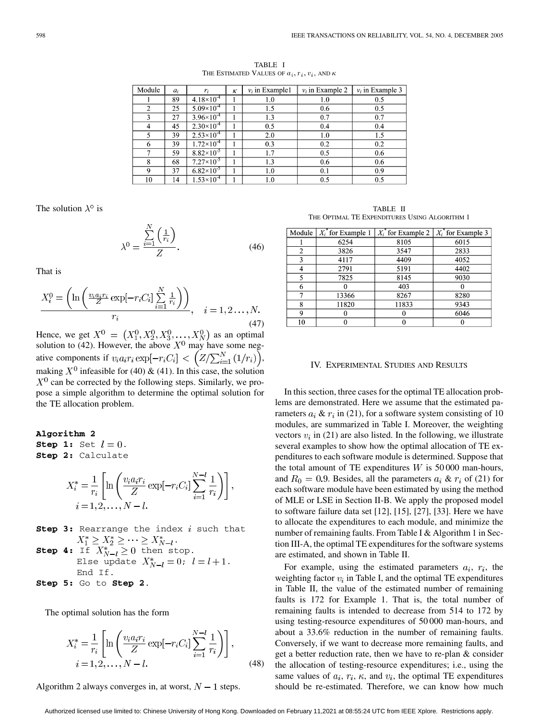| Module | $a_i$ | r;                    | ĸ | $v_i$ in Example1 | $v_i$ in Example 2 | $v_i$ in Example 3 |
|--------|-------|-----------------------|---|-------------------|--------------------|--------------------|
|        | 89    | $4.18\times10^{-4}$   |   | 1.0               | 1.0                | 0.5                |
| 2      | 25    | $5.09\times10^{-4}$   |   | 1.5               | 0.6                | 0.5                |
| 3      | 27    | $3.96 \times 10^{-4}$ |   | 1.3               | 0.7                | 0.7                |
| 4      | 45    | $2.30\times10^{-4}$   |   | 0.5               | 0.4                | 0.4                |
| 5      | 39    | $2.53\times10^{-4}$   |   | 2.0               | 1.0                | 1.5                |
| 6      | 39    | $1.72\times10^{-4}$   |   | 0.3               | 0.2                | 0.2                |
| 7      | 59    | $8.82\times10^{-5}$   |   | 1.7               | 0.5                | 0.6                |
| 8      | 68    | $7.27\times10^{-5}$   |   | 1.3               | 0.6                | 0.6                |
| 9      | 37    | $6.82\times10^{-5}$   |   | 1.0               | 0.1                | 0.9                |
| 10     | 14    | $1.53\times10^{4}$    |   | 1.0               | 0.5                | 0.5                |

TABLE I THE ESTIMATED VALUES OF  $a_i, r_i, v_i$ , and  $\kappa$ 

The solution  $\lambda^{\circ}$  is

$$
\lambda^0 = \frac{\sum_{i=1}^N \left(\frac{1}{r_i}\right)}{Z}.
$$
\n(46)

That is

$$
\frac{X_i^0 = \left(\ln\left(\frac{v_i a_i r_i}{Z} \exp[-r_i C_i] \sum_{i=1}^N \frac{1}{r_i}\right)\right)}{r_i}, \quad i = 1, 2, \dots, N.
$$
\n(47)

Hence, we get  $X^0 = (X_1^0, X_2^0, X_3^0, \ldots, X_N^0)$  as an optimal solution to (42). However, the above  $X^0$  may have some negative components if  $v_i a_i r_i \exp[-r_i C_i] < (Z/\sum_{i=1}^N (1/r_i))$ , making  $X^0$  infeasible for (40) & (41). In this case, the solution  $X^0$  can be corrected by the following steps. Similarly, we propose a simple algorithm to determine the optimal solution for the TE allocation problem.

## **Algorithm 2**

**Step 1:** Set  $l = 0$ . **Step 2:** Calculate

$$
X_i^* = \frac{1}{r_i} \left[ \ln \left( \frac{v_i a_i r_i}{Z} \exp[-r_i C_i] \sum_{i=1}^{N-l} \frac{1}{r_i} \right) \right]
$$
  

$$
i = 1, 2, \dots, N-l.
$$

- **Step 3:** Rearrange the index  $i$  such that . **Step 4:** If  $X_{N-1}^* \geq 0$  then stop. Else update  $X_{N-l}^* = 0$ ;  $l = l + 1$ .
- End If. **Step 5:** Go to **Step 2**.

The optimal solution has the form

$$
X_{i}^{*} = \frac{1}{r_{i}} \left[ \ln \left( \frac{v_{i} a_{i} r_{i}}{Z} \exp[-r_{i} C_{i}] \sum_{i=1}^{N-l} \frac{1}{r_{i}} \right) \right],
$$
  

$$
i = 1, 2, ..., N-l.
$$
 (48)

Algorithm 2 always converges in, at worst,  $N-1$  steps.

TABLE II THE OPTIMAL TE EXPENDITURES USING ALGORITHM 1

|    | Module $X_i$ for Example 1 | $X_i$ for Example 2   $X_i$ for Example 3 |      |
|----|----------------------------|-------------------------------------------|------|
|    | 6254                       | 8105                                      | 6015 |
| 2  | 3826                       | 3547                                      | 2833 |
| 3  | 4117                       | 4409                                      | 4052 |
|    | 2791                       | 5191                                      | 4402 |
| 5  | 7825                       | 8145                                      | 9030 |
| 6  |                            | 403                                       |      |
|    | 13366                      | 8267                                      | 8280 |
| 8  | 11820                      | 11833                                     | 9343 |
| Q  |                            |                                           | 6046 |
| 10 |                            |                                           |      |

#### IV. EXPERIMENTAL STUDIES AND RESULTS

In this section, three cases for the optimal TE allocation problems are demonstrated. Here we assume that the estimated parameters  $a_i \& r_i$  in (21), for a software system consisting of 10 modules, are summarized in Table I. Moreover, the weighting vectors  $v_i$  in (21) are also listed. In the following, we illustrate several examples to show how the optimal allocation of TE expenditures to each software module is determined. Suppose that the total amount of TE expenditures  $W$  is 50 000 man-hours, and  $R_0 = 0.9$ . Besides, all the parameters  $a_i \& r_i$  of (21) for each software module have been estimated by using the method of MLE or LSE in Section II-B. We apply the proposed model to software failure data set [[12\]](#page-10-0), [[15\]](#page-10-0), [[27\]](#page-11-0), [\[33](#page-11-0)]. Here we have to allocate the expenditures to each module, and minimize the number of remaining faults. From Table I & Algorithm 1 in Section III-A, the optimal TE expenditures for the software systems are estimated, and shown in Table II.

For example, using the estimated parameters  $a_i$ ,  $r_i$ , the weighting factor  $v_i$  in Table I, and the optimal TE expenditures in Table II, the value of the estimated number of remaining faults is 172 for Example 1. That is, the total number of remaining faults is intended to decrease from 514 to 172 by using testing-resource expenditures of 50 000 man-hours, and about a 33.6% reduction in the number of remaining faults. Conversely, if we want to decrease more remaining faults, and get a better reduction rate, then we have to re-plan & consider the allocation of testing-resource expenditures; i.e., using the same values of  $a_i, r_i, \kappa$ , and  $v_i$ , the optimal TE expenditures should be re-estimated. Therefore, we can know how much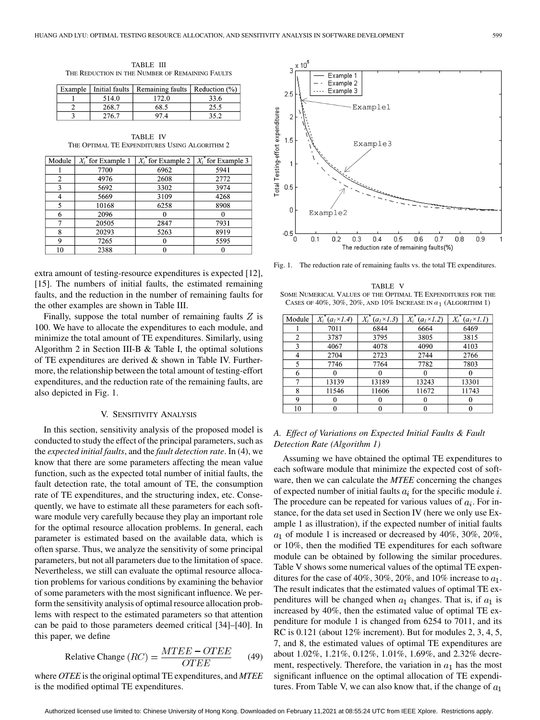TABLE III THE REDUCTION IN THE NUMBER OF REMAINING FAULTS

| Example   Initial faults | Remaining faults   Reduction (%) |      |
|--------------------------|----------------------------------|------|
| 514.0                    | 172.0                            | 33.6 |
| 268.7                    | 68.5                             | 25.5 |
| 276.7                    | 97 4                             | 35 2 |

TABLE IV THE OPTIMAL TE EXPENDITURES USING ALGORITHM 2

| Module | $X_i$ for Example 1 |      | $X_i^*$ for Example 2   $X_i^*$ for Example 3 |
|--------|---------------------|------|-----------------------------------------------|
|        | 7700                | 6962 | 5941                                          |
| 2      | 4976                | 2608 | 2772                                          |
| ٩      | 5692                | 3302 | 3974                                          |
|        | 5669                | 3109 | 4268                                          |
| 5      | 10168               | 6258 | 8908                                          |
| 6      | 2096                |      |                                               |
| 7      | 20505               | 2847 | 7931                                          |
| 8      | 20293               | 5263 | 8919                                          |
| Q      | 7265                |      | 5595                                          |
| 10     | 2388                |      |                                               |

extra amount of testing-resource expenditures is expected [\[12](#page-10-0)], [\[15](#page-10-0)]. The numbers of initial faults, the estimated remaining faults, and the reduction in the number of remaining faults for the other examples are shown in Table III.

Finally, suppose the total number of remaining faults  $Z$  is 100. We have to allocate the expenditures to each module, and minimize the total amount of TE expenditures. Similarly, using Algorithm 2 in Section III-B & Table I, the optimal solutions of TE expenditures are derived & shown in Table IV. Furthermore, the relationship between the total amount of testing-effort expenditures, and the reduction rate of the remaining faults, are also depicted in Fig. 1.

#### V. SENSITIVITY ANALYSIS

In this section, sensitivity analysis of the proposed model is conducted to study the effect of the principal parameters, such as the *expected initial faults*, and the *fault detection rate*. In (4), we know that there are some parameters affecting the mean value function, such as the expected total number of initial faults, the fault detection rate, the total amount of TE, the consumption rate of TE expenditures, and the structuring index, etc. Consequently, we have to estimate all these parameters for each software module very carefully because they play an important role for the optimal resource allocation problems. In general, each parameter is estimated based on the available data, which is often sparse. Thus, we analyze the sensitivity of some principal parameters, but not all parameters due to the limitation of space. Nevertheless, we still can evaluate the optimal resource allocation problems for various conditions by examining the behavior of some parameters with the most significant influence. We perform the sensitivity analysis of optimal resource allocation problems with respect to the estimated parameters so that attention can be paid to those parameters deemed critical [\[34](#page-11-0)]–[[40\]](#page-11-0). In this paper, we define

$$
Relative Change (RC) = \frac{MTEE - OTEE}{OTEE} \qquad (49)
$$

where *OTEE* is the original optimal TE expenditures, and *MTEE* is the modified optimal TE expenditures.



Fig. 1. The reduction rate of remaining faults vs. the total TE expenditures.

TABLE V SOME NUMERICAL VALUES OF THE OPTIMAL TE EXPENDITURES FOR THE CASES OF  $40\%$ ,  $30\%$ ,  $20\%$ , AND  $10\%$  INCREASE IN  $a_1$  (ALGORITHM 1)

| Module | $X_i^*$<br>$(a1 \times 1.4)$ | $(a1 \times 1.3)$ | $X_i$ <sup>*</sup><br>(a <sub>1</sub> ×1.2) | $X_i^r$<br>$(al \times 1.1)$ |
|--------|------------------------------|-------------------|---------------------------------------------|------------------------------|
|        | 7011                         | 6844              | 6664                                        | 6469                         |
| 2      | 3787                         | 3795              | 3805                                        | 3815                         |
| 3      | 4067                         | 4078              | 4090                                        | 4103                         |
| 4      | 2704                         | 2723              | 2744                                        | 2766                         |
| 5      | 7746                         | 7764              | 7782                                        | 7803                         |
| 6      |                              |                   |                                             |                              |
| 7      | 13139                        | 13189             | 13243                                       | 13301                        |
| 8      | 11546                        | 11606             | 11672                                       | 11743                        |
| 9      |                              | 0                 |                                             |                              |
| 10     |                              |                   |                                             |                              |

# *A. Effect of Variations on Expected Initial Faults & Fault Detection Rate (Algorithm 1)*

Assuming we have obtained the optimal TE expenditures to each software module that minimize the expected cost of software, then we can calculate the *MTEE* concerning the changes of expected number of initial faults  $a_i$  for the specific module i. The procedure can be repeated for various values of  $a_i$ . For instance, for the data set used in Section IV (here we only use Example 1 as illustration), if the expected number of initial faults  $a_1$  of module 1 is increased or decreased by 40%, 30%, 20%, or 10%, then the modified TE expenditures for each software module can be obtained by following the similar procedures. Table V shows some numerical values of the optimal TE expenditures for the case of 40%, 30%, 20%, and 10% increase to  $a_1$ . The result indicates that the estimated values of optimal TE expenditures will be changed when  $a_1$  changes. That is, if  $a_1$  is increased by 40%, then the estimated value of optimal TE expenditure for module 1 is changed from 6254 to 7011, and its RC is 0.121 (about 12% increment). But for modules 2, 3, 4, 5, 7, and 8, the estimated values of optimal TE expenditures are about 1.02%, 1.21%, 0.12%, 1.01%, 1.69%, and 2.32% decrement, respectively. Therefore, the variation in  $a_1$  has the most significant influence on the optimal allocation of TE expenditures. From Table V, we can also know that, if the change of  $a_1$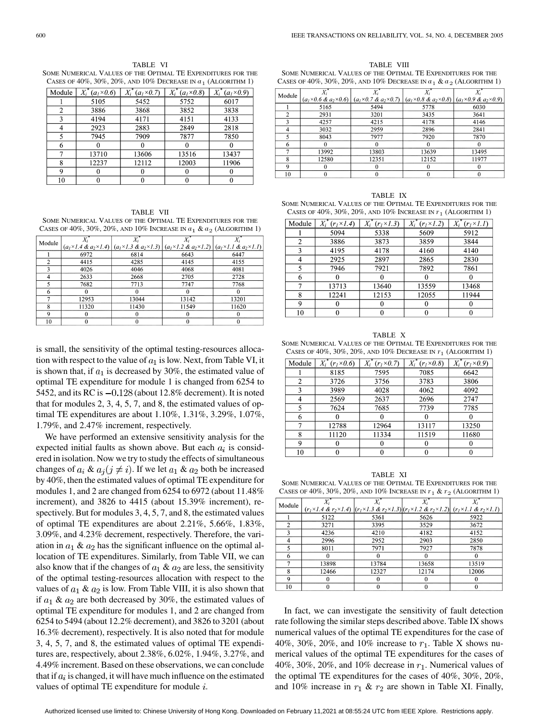TABLE VI SOME NUMERICAL VALUES OF THE OPTIMAL TE EXPENDITURES FOR THE CASES OF  $40\%$ ,  $30\%$ ,  $20\%$ , and  $10\%$  Decrease IN  $a_1$  (ALGORITHM 1)

| Module | $X_i^*(a_1\times 0.6)$ | $X_i$ <sup>*</sup><br>$(aI \times 0.7)$ | $X_i^r$<br>$(a_1 \times 0.8)$ | $X_i$ <sup>*</sup><br>$(a_1\times 0.9)$ |
|--------|------------------------|-----------------------------------------|-------------------------------|-----------------------------------------|
|        | 5105                   | 5452                                    | 5752                          | 6017                                    |
| 2      | 3886                   | 3868                                    | 3852                          | 3838                                    |
| 3      | 4194                   | 4171                                    | 4151                          | 4133                                    |
| 4      | 2923                   | 2883                                    | 2849                          | 2818                                    |
| 5      | 7945                   | 7909                                    | 7877                          | 7850                                    |
| 6      |                        |                                         |                               |                                         |
|        | 13710                  | 13606                                   | 13516                         | 13437                                   |
| 8      | 12237                  | 12112                                   | 12003                         | 11906                                   |
| 9      |                        |                                         |                               |                                         |
| 10     |                        |                                         |                               |                                         |

TABLE VII SOME NUMERICAL VALUES OF THE OPTIMAL TE EXPENDITURES FOR THE CASES OF  $40\%$ ,  $30\%$ ,  $20\%$ , and  $10\%$  Increase in  $a_1 \& a_2$  (Algorithm 1)

| Module |       |                                                                                                                                                     |       |       |
|--------|-------|-----------------------------------------------------------------------------------------------------------------------------------------------------|-------|-------|
|        |       | $(a_1 \times 1.4 \& a_2 \times 1.4)   (a_1 \times 1.3 \& a_2 \times 1.3)   (a_1 \times 1.2 \& a_2 \times 1.2)   (a_1 \times 1.1 \& a_2 \times 1.1)$ |       |       |
|        | 6972  | 6814                                                                                                                                                | 6643  | 6447  |
| 2      | 4415  | 4285                                                                                                                                                | 4145  | 4155  |
| 3      | 4026  | 4046                                                                                                                                                | 4068  | 4081  |
|        | 2633  | 2668                                                                                                                                                | 2705  | 2728  |
|        | 7682  | 7713                                                                                                                                                | 7747  | 7768  |
| 6      |       |                                                                                                                                                     |       |       |
|        | 12953 | 13044                                                                                                                                               | 13142 | 13201 |
| 8      | 11320 | 11430                                                                                                                                               | 11549 | 11620 |
| 9      | 0     |                                                                                                                                                     |       |       |
| 10     |       |                                                                                                                                                     |       |       |

is small, the sensitivity of the optimal testing-resources allocation with respect to the value of  $a_1$  is low. Next, from Table VI, it is shown that, if  $a_1$  is decreased by 30%, the estimated value of optimal TE expenditure for module 1 is changed from 6254 to 5452, and its RC is  $-0.128$  (about 12.8% decrement). It is noted that for modules 2, 3, 4, 5, 7, and 8, the estimated values of optimal TE expenditures are about 1.10%, 1.31%, 3.29%, 1.07%, 1.79%, and 2.47% increment, respectively.

We have performed an extensive sensitivity analysis for the expected initial faults as shown above. But each  $a_i$  is considered in isolation. Now we try to study the effects of simultaneous changes of  $a_i \& a_j (j \neq i)$ . If we let  $a_1 \& a_2$  both be increased by 40%, then the estimated values of optimal TE expenditure for modules 1, and 2 are changed from 6254 to 6972 (about 11.48% increment), and 3826 to 4415 (about 15.39% increment), respectively. But for modules 3, 4, 5, 7, and 8, the estimated values of optimal TE expenditures are about 2.21%, 5.66%, 1.83%, 3.09%, and 4.23% decrement, respectively. Therefore, the variation in  $a_1 \& a_2$  has the significant influence on the optimal allocation of TE expenditures. Similarly, from Table VII, we can also know that if the changes of  $a_1 \& a_2$  are less, the sensitivity of the optimal testing-resources allocation with respect to the values of  $a_1 \& a_2$  is low. From Table VIII, it is also shown that if  $a_1$  &  $a_2$  are both decreased by 30%, the estimated values of optimal TE expenditure for modules 1, and 2 are changed from 6254 to 5494 (about 12.2% decrement), and 3826 to 3201 (about 16.3% decrement), respectively. It is also noted that for module 3, 4, 5, 7, and 8, the estimated values of optimal TE expenditures are, respectively, about 2.38%, 6.02%, 1.94%, 3.27%, and 4.49% increment. Based on these observations, we can conclude that if  $a_i$  is changed, it will have much influence on the estimated values of optimal TE expenditure for module  $i$ .

TABLE VIII SOME NUMERICAL VALUES OF THE OPTIMAL TE EXPENDITURES FOR THE CASES OF  $40\%, 30\%, 20\%,$  AND  $10\%$  DECREASE IN  $a_1 \& a_2$  (ALGORITHM 1)

| Module |       |                                                                                                                                                     |       |       |
|--------|-------|-----------------------------------------------------------------------------------------------------------------------------------------------------|-------|-------|
|        |       | $(a_1 \times 0.6 \& a_2 \times 0.6)$ $(a_1 \times 0.7 \& a_2 \times 0.7)$ $(a_1 \times 0.8 \& a_2 \times 0.8)$ $(a_1 \times 0.9 \& a_2 \times 0.9)$ |       |       |
|        | 5165  | 5494                                                                                                                                                | 5778  | 6030  |
|        | 2931  | 3201                                                                                                                                                | 3435  | 3641  |
|        | 4257  | 4215                                                                                                                                                | 4178  | 4146  |
|        | 3032  | 2959                                                                                                                                                | 2896  | 2841  |
|        | 8043  | 7977                                                                                                                                                | 7920  | 7870  |
| 6      | Ω     |                                                                                                                                                     | 0     |       |
|        | 13992 | 13803                                                                                                                                               | 13639 | 13495 |
| 8      | 12580 | 12351                                                                                                                                               | 12152 | 11977 |
| Q      | 0     |                                                                                                                                                     | 0     |       |
| 10     |       |                                                                                                                                                     |       |       |

| TABLE IX                                                        |
|-----------------------------------------------------------------|
| SOME NUMERICAL VALUES OF THE OPTIMAL TE EXPENDITURES FOR THE    |
| CASES OF 40%, 30%, 20%, AND 10% INCREASE IN $r_1$ (ALGORITHM 1) |

| Module | $X_i^*(r_1\times1.4)$ | $X_i^*(r_I\times I.3)$ | $X_i^*(r_1\times1.2)$ | $X_i^*(r_I \times I. I)$ |
|--------|-----------------------|------------------------|-----------------------|--------------------------|
|        | 5094                  | 5338                   | 5609                  | 5912                     |
| 2      | 3886                  | 3873                   | 3859                  | 3844                     |
| 3      | 4195                  | 4178                   | 4160                  | 4140                     |
| 4      | 2925                  | 2897                   | 2865                  | 2830                     |
| 5      | 7946                  | 7921                   | 7892                  | 7861                     |
| 6      |                       |                        |                       |                          |
| 7      | 13713                 | 13640                  | 13559                 | 13468                    |
| 8      | 12241                 | 12153                  | 12055                 | 11944                    |
| 9      |                       |                        |                       | $\mathbf{0}$             |
| 10     |                       |                        |                       |                          |

TABLE X SOME NUMERICAL VALUES OF THE OPTIMAL TE EXPENDITURES FOR THE CASES OF  $40\%$ ,  $30\%$ ,  $20\%$ , and  $10\%$  Decrease in  $r_1$  (Algorithm 1)

| Module | $X_i^*(r_1\times 0.6)$ | $X_i^*$<br>$(r_1\times 0.7)$ | $X_i^*(r_1\times 0.8)$ | $X_i$<br>$(r_1\times 0.9)$ |
|--------|------------------------|------------------------------|------------------------|----------------------------|
|        | 8185                   | 7595                         | 7085                   | 6642                       |
| 2      | 3726                   | 3756                         | 3783                   | 3806                       |
| 3      | 3989                   | 4028                         | 4062                   | 4092                       |
| 4      | 2569                   | 2637                         | 2696                   | 2747                       |
|        | 7624                   | 7685                         | 7739                   | 7785                       |
| 6      |                        |                              |                        |                            |
| 7      | 12788                  | 12964                        | 13117                  | 13250                      |
| 8      | 11120                  | 11334                        | 11519                  | 11680                      |
| 9      |                        |                              |                        |                            |
| 10     |                        |                              |                        |                            |

TABLE XI SOME NUMERICAL VALUES OF THE OPTIMAL TE EXPENDITURES FOR THE CASES OF  $40\%$ ,  $30\%$ ,  $20\%$ , and  $10\%$  Increase in  $r_1$  &  $r_2$  (Algorithm 1)

| Module       |       |       |       |                                                                                                                                                     |
|--------------|-------|-------|-------|-----------------------------------------------------------------------------------------------------------------------------------------------------|
|              |       |       |       | $(r_1 \times 1.4 \& r_2 \times 1.4)$ $ (r_1 \times 1.3 \& r_2 \times 1.3)  (r_1 \times 1.2 \& r_2 \times 1.2)   (r_1 \times 1.1 \& r_2 \times 1.1)$ |
|              | 5122  | 5361  | 5626  | 5922                                                                                                                                                |
| 2            | 3271  | 3395  | 3529  | 3672                                                                                                                                                |
| $\mathbf{a}$ | 4236  | 4210  | 4182  | 4152                                                                                                                                                |
| 4            | 2996  | 2952  | 2903  | 2850                                                                                                                                                |
| 5            | 8011  | 7971  | 7927  | 7878                                                                                                                                                |
| 6            |       | 0     |       |                                                                                                                                                     |
|              | 13898 | 13784 | 13658 | 13519                                                                                                                                               |
| 8            | 12466 | 12327 | 12174 | 12006                                                                                                                                               |
| 9            |       |       |       |                                                                                                                                                     |
| 10           |       |       |       |                                                                                                                                                     |

In fact, we can investigate the sensitivity of fault detection rate following the similar steps described above. Table IX shows numerical values of the optimal TE expenditures for the case of 40%, 30%, 20%, and 10% increase to  $r_1$ . Table X shows numerical values of the optimal TE expenditures for the cases of 40%, 30%, 20%, and 10% decrease in  $r_1$ . Numerical values of the optimal TE expenditures for the cases of 40%, 30%, 20%, and 10% increase in  $r_1$  &  $r_2$  are shown in Table XI. Finally,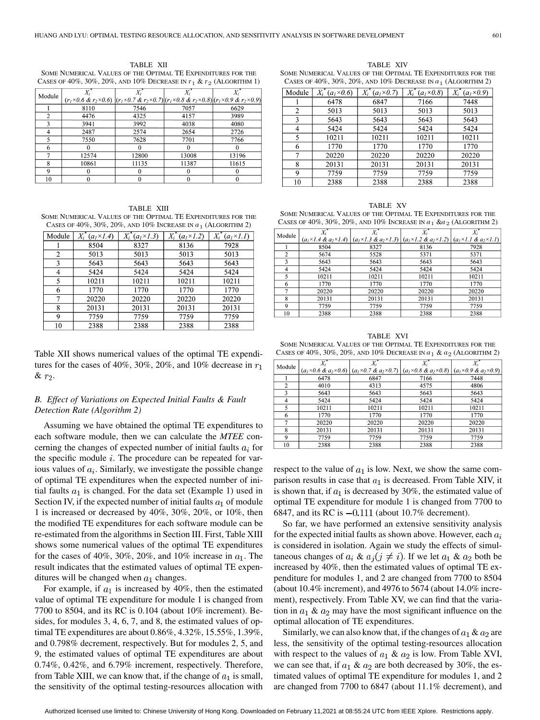TABLE XII SOME NUMERICAL VALUES OF THE OPTIMAL TE EXPENDITURES FOR THE CASES OF  $40\%$ ,  $30\%$ ,  $20\%$ , and  $10\%$  Decrease in  $r_1$  &  $r_2$  (Algorithm 1)

| Module         |                                                                                                                                               |       |       |       |
|----------------|-----------------------------------------------------------------------------------------------------------------------------------------------|-------|-------|-------|
|                | $(r_1 \times 0.6 \& r_2 \times 0.6)$ $(r_1 \times 0.7 \& r_2 \times 0.7)(r_1 \times 0.8 \& r_2 \times 0.8)(r_1 \times 0.9 \& r_2 \times 0.9)$ |       |       |       |
|                | 8110                                                                                                                                          | 7546  | 7057  | 6629  |
| $\mathfrak{D}$ | 4476                                                                                                                                          | 4325  | 4157  | 3989  |
|                | 3941                                                                                                                                          | 3992  | 4038  | 4080  |
|                | 2487                                                                                                                                          | 2574  | 2654  | 2726  |
|                | 7550                                                                                                                                          | 7628  | 7701  | 7766  |
| 6              |                                                                                                                                               |       |       |       |
| 7              | 12574                                                                                                                                         | 12800 | 13008 | 13196 |
| 8              | 10861                                                                                                                                         | 11135 | 11387 | 11615 |
| 9              |                                                                                                                                               | 0     |       |       |
| 10             |                                                                                                                                               |       |       |       |

TABLE XIII SOME NUMERICAL VALUES OF THE OPTIMAL TE EXPENDITURES FOR THE CASES OF  $40\%$ ,  $30\%$ ,  $20\%$ , and  $10\%$  Increase in  $a_1$  (Algorithm 2)

| Module | $X_i^*(a_1\times I.4)$ | $X_i^*(a_1\times 1.3)$ | $X_i^*(a_1\times 1.2)$ | $X_i^*(a_1\times 1.1)$ |
|--------|------------------------|------------------------|------------------------|------------------------|
|        | 8504                   | 8327                   | 8136                   | 7928                   |
| 2      | 5013                   | 5013                   | 5013                   | 5013                   |
| 3      | 5643                   | 5643                   | 5643                   | 5643                   |
| 4      | 5424                   | 5424                   | 5424                   | 5424                   |
| 5      | 10211                  | 10211                  | 10211                  | 10211                  |
| 6      | 1770                   | 1770                   | 1770                   | 1770                   |
| 7      | 20220                  | 20220                  | 20220                  | 20220                  |
| 8      | 20131                  | 20131                  | 20131                  | 20131                  |
| 9      | 7759                   | 7759                   | 7759                   | 7759                   |
| 10     | 2388                   | 2388                   | 2388                   | 2388                   |

Table XII shows numerical values of the optimal TE expenditures for the cases of 40%, 30%, 20%, and 10% decrease in  $r_1$  $\& r_2.$ 

# *B. Effect of Variations on Expected Initial Faults & Fault Detection Rate (Algorithm 2)*

Assuming we have obtained the optimal TE expenditures to each software module, then we can calculate the *MTEE* concerning the changes of expected number of initial faults  $a_i$  for the specific module  $i$ . The procedure can be repeated for various values of  $a_i$ . Similarly, we investigate the possible change of optimal TE expenditures when the expected number of initial faults  $a_1$  is changed. For the data set (Example 1) used in Section IV, if the expected number of initial faults  $a_1$  of module 1 is increased or decreased by 40%, 30%, 20%, or 10%, then the modified TE expenditures for each software module can be re-estimated from the algorithms in Section III. First, Table XIII shows some numerical values of the optimal TE expenditures for the cases of 40%, 30%, 20%, and 10% increase in  $a_1$ . The result indicates that the estimated values of optimal TE expenditures will be changed when  $a_1$  changes.

For example, if  $a_1$  is increased by 40%, then the estimated value of optimal TE expenditure for module 1 is changed from 7700 to 8504, and its RC is 0.104 (about 10% increment). Besides, for modules 3, 4, 6, 7, and 8, the estimated values of optimal TE expenditures are about 0.86%, 4.32%, 15.55%, 1.39%, and 0.798% decrement, respectively. But for modules 2, 5, and 9, the estimated values of optimal TE expenditures are about 0.74%, 0.42%, and 6.79% increment, respectively. Therefore, from Table XIII, we can know that, if the change of  $a_1$  is small, the sensitivity of the optimal testing-resources allocation with

TABLE XIV SOME NUMERICAL VALUES OF THE OPTIMAL TE EXPENDITURES FOR THE CASES OF  $40\%$ ,  $30\%$ ,  $20\%$ , and  $10\%$  Decrease In  $a_1$  (ALGORITHM 2)

| Module | $X_i^*(a_1\times 0.6)$ | $X_i^*(a_1\times 0.7)$ | $X_i^*(a_1\times 0.8)$ | $X_i^*(a_1\times 0.9)$ |
|--------|------------------------|------------------------|------------------------|------------------------|
|        | 6478                   | 6847                   | 7166                   | 7448                   |
| 2      | 5013                   | 5013                   | 5013                   | 5013                   |
| 3      | 5643                   | 5643                   | 5643                   | 5643                   |
| 4      | 5424                   | 5424                   | 5424                   | 5424                   |
| 5      | 10211                  | 10211                  | 10211                  | 10211                  |
| 6      | 1770                   | 1770                   | 1770                   | 1770                   |
| 7      | 20220                  | 20220                  | 20220                  | 20220                  |
| 8      | 20131                  | 20131                  | 20131                  | 20131                  |
| 9      | 7759                   | 7759                   | 7759                   | 7759                   |
| 10     | 2388                   | 2388                   | 2388                   | 2388                   |

TABLE XV SOME NUMERICAL VALUES OF THE OPTIMAL TE EXPENDITURES FOR THE CASES OF  $40\%, 30\%, 20\%,$  AND  $10\%$  INCREASE IN  $a_1 \& a_2$  (ALGORITHM 2)

| Module         | X,    |                                                                                                                                                     |       |       |
|----------------|-------|-----------------------------------------------------------------------------------------------------------------------------------------------------|-------|-------|
|                |       | $(a_1 \times 1.4 \& a_2 \times 1.4)$ $(a_1 \times 1.3 \& a_2 \times 1.3)$ $(a_1 \times 1.2 \& a_2 \times 1.2)$ $(a_1 \times 1.1 \& a_2 \times 1.1)$ |       |       |
|                | 8504  | 8327                                                                                                                                                | 8136  | 7928  |
| $\overline{2}$ | 5674  | 5528                                                                                                                                                | 5371  | 5371  |
| $\mathbf{3}$   | 5643  | 5643                                                                                                                                                | 5643  | 5643  |
| 4              | 5424  | 5424                                                                                                                                                | 5424  | 5424  |
| 5              | 10211 | 10211                                                                                                                                               | 10211 | 10211 |
| 6              | 1770  | 1770                                                                                                                                                | 1770  | 1770  |
| 7              | 20220 | 20220                                                                                                                                               | 20220 | 20220 |
| 8              | 20131 | 20131                                                                                                                                               | 20131 | 20131 |
| 9              | 7759  | 7759                                                                                                                                                | 7759  | 7759  |
| 10             | 2388  | 2388                                                                                                                                                | 2388  | 2388  |

TABLE XVI SOME NUMERICAL VALUES OF THE OPTIMAL TE EXPENDITURES FOR THE CASES OF  $40\%, 30\%, 20\%,$  AND  $10\%$  DECREASE IN  $a_1 \& a_2$  (ALGORITHM 2)

| Module |       |                                                                           |       |                                                                           |
|--------|-------|---------------------------------------------------------------------------|-------|---------------------------------------------------------------------------|
|        |       | $(a_1 \times 0.6 \& a_2 \times 0.6)   (a_1 \times 0.7 \& a_2 \times 0.7)$ |       | $(a_1 \times 0.8 \& a_2 \times 0.8)$ $(a_1 \times 0.9 \& a_2 \times 0.9)$ |
|        | 6478  | 6847                                                                      | 7166  | 7448                                                                      |
| 2      | 4010  | 4313                                                                      | 4575  | 4806                                                                      |
| 3      | 5643  | 5643                                                                      | 5643  | 5643                                                                      |
| 4      | 5424  | 5424                                                                      | 5424  | 5424                                                                      |
| 5      | 10211 | 10211                                                                     | 10211 | 10211                                                                     |
| 6      | 1770  | 1770                                                                      | 1770  | 1770                                                                      |
| 7      | 20220 | 20220                                                                     | 20220 | 20220                                                                     |
| 8      | 20131 | 20131                                                                     | 20131 | 20131                                                                     |
| 9      | 7759  | 7759                                                                      | 7759  | 7759                                                                      |
| 10     | 2388  | 2388                                                                      | 2388  | 2388                                                                      |

respect to the value of  $a_1$  is low. Next, we show the same comparison results in case that  $a_1$  is decreased. From Table XIV, it is shown that, if  $a_1$  is decreased by 30%, the estimated value of optimal TE expenditure for module 1 is changed from 7700 to 6847, and its RC is  $-0.111$  (about 10.7% decrement).

So far, we have performed an extensive sensitivity analysis for the expected initial faults as shown above. However, each  $a_i$ is considered in isolation. Again we study the effects of simultaneous changes of  $a_i \& a_j (j \neq i)$ . If we let  $a_1 \& a_2$  both be increased by 40%, then the estimated values of optimal TE expenditure for modules 1, and 2 are changed from 7700 to 8504 (about 10.4% increment), and 4976 to 5674 (about 14.0% increment), respectively. From Table XV, we can find that the variation in  $a_1 \& a_2$  may have the most significant influence on the optimal allocation of TE expenditures.

Similarly, we can also know that, if the changes of  $a_1 \& a_2$  are less, the sensitivity of the optimal testing-resources allocation with respect to the values of  $a_1 \& a_2$  is low. From Table XVI, we can see that, if  $a_1 \& a_2$  are both decreased by 30%, the estimated values of optimal TE expenditure for modules 1, and 2 are changed from 7700 to 6847 (about 11.1% decrement), and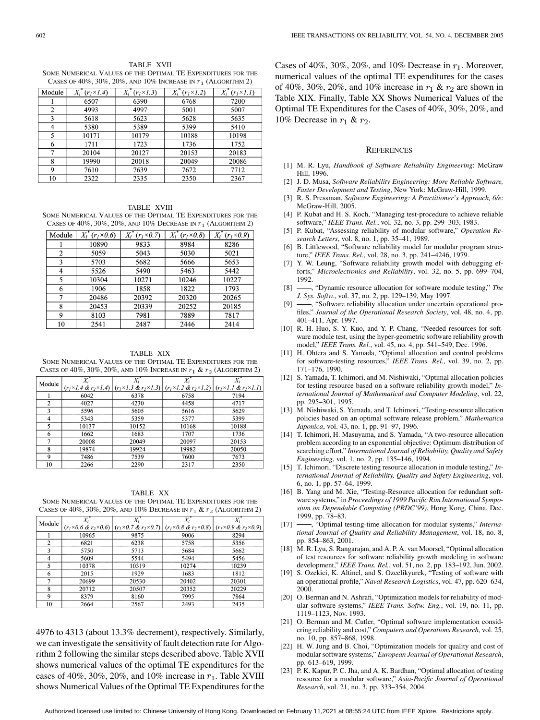<span id="page-10-0"></span>TABLE XVII SOME NUMERICAL VALUES OF THE OPTIMAL TE EXPENDITURES FOR THE CASES OF  $40\%$ ,  $30\%$ ,  $20\%$ , and  $10\%$  Increase in  $r_1$  (Algorithm 2)

| Module | $X_i$<br>$(r_1\times1.4)$ | $X_i^*(r_I\times I.3)$ | $\overline{X}_i^*$<br>$(rI \times 1.2)$ | $X_i$<br>$(r_1\times 1.1)$ |
|--------|---------------------------|------------------------|-----------------------------------------|----------------------------|
|        | 6507                      | 6390                   | 6768                                    | 7200                       |
| 2      | 4993                      | 4997                   | 5001                                    | 5007                       |
| 3      | 5618                      | 5623                   | 5628                                    | 5635                       |
| 4      | 5380                      | 5389                   | 5399                                    | 5410                       |
| 5      | 10171                     | 10179                  | 10188                                   | 10198                      |
| 6      | 1711                      | 1723                   | 1736                                    | 1752                       |
| 7      | 20104                     | 20127                  | 20153                                   | 20183                      |
| 8      | 19990                     | 20018                  | 20049                                   | 20086                      |
| 9      | 7610                      | 7639                   | 7672                                    | 7712                       |
| 10     | 2322                      | 2335                   | 2350                                    | 2367                       |

TABLE XVIII SOME NUMERICAL VALUES OF THE OPTIMAL TE EXPENDITURES FOR THE CASES OF  $40\%$ ,  $30\%$ ,  $20\%$ , and  $10\%$  Decrease in  $r_1$  (Algorithm 2)

| Module | $X_i^*(r_i\times 0.6)$ | $X_i^*(r_1\times 0.7)$ | $X_i^*(r_1\times 0.8)$ | $X_i^*(r_1\times 0.9)$ |
|--------|------------------------|------------------------|------------------------|------------------------|
|        | 10890                  | 9833                   | 8984                   | 8286                   |
| 2      | 5059                   | 5043                   | 5030                   | 5021                   |
| 3      | 5703                   | 5682                   | 5666                   | 5653                   |
| 4      | 5526                   | 5490                   | 5463                   | 5442                   |
| 5      | 10304                  | 10271                  | 10246                  | 10227                  |
| 6      | 1906                   | 1858                   | 1822                   | 1793                   |
| 7      | 20486                  | 20392                  | 20320                  | 20265                  |
| 8      | 20453                  | 20339                  | 20252                  | 20185                  |
| 9      | 8103                   | 7981                   | 7889                   | 7817                   |
| 10     | 2541                   | 2487                   | 2446                   | 2414                   |

TABLE XIX

SOME NUMERICAL VALUES OF THE OPTIMAL TE EXPENDITURES FOR THE CASES OF 40%, 30%, 20%, AND 10% INCREASE IN  $r_1$  &  $r_2$  (ALGORITHM 2)

| Module         | $\overline{X_i}$ | $X_i$                                                                                                                                               | $X_i$ |       |
|----------------|------------------|-----------------------------------------------------------------------------------------------------------------------------------------------------|-------|-------|
|                |                  | $(r_1 \times 1.4 \& r_2 \times 1.4)$ $(r_1 \times 1.3 \& r_2 \times 1.3)$ $(r_1 \times 1.2 \& r_2 \times 1.2)$ $(r_1 \times 1.1 \& r_2 \times 1.1)$ |       |       |
|                | 6042             | 6378                                                                                                                                                | 6758  | 7194  |
| $\overline{c}$ | 4027             | 4230                                                                                                                                                | 4458  | 4717  |
| 3              | 5596             | 5605                                                                                                                                                | 5616  | 5629  |
| 4              | 5343             | 5359                                                                                                                                                | 5377  | 5399  |
| 5              | 10137            | 10152                                                                                                                                               | 10168 | 10188 |
| 6              | 1662             | 1683                                                                                                                                                | 1707  | 1736  |
| 7              | 20008            | 20049                                                                                                                                               | 20097 | 20153 |
| 8              | 19874            | 19924                                                                                                                                               | 19982 | 20050 |
| 9              | 7486             | 7539                                                                                                                                                | 7600  | 7673  |
| 10             | 2266             | 2290                                                                                                                                                | 2317  | 2350  |

TABLE XX SOME NUMERICAL VALUES OF THE OPTIMAL TE EXPENDITURES FOR THE CASES OF 40%, 30%, 20%, AND 10% DECREASE IN  $r_1$  &  $r_2$  (ALGORITHM 2)

| Module |       |                                                                                                                                                     |       |       |
|--------|-------|-----------------------------------------------------------------------------------------------------------------------------------------------------|-------|-------|
|        |       | $(r_1 \times 0.6 \& r_2 \times 0.6)$ $(r_1 \times 0.7 \& r_2 \times 0.7)$ $(r_1 \times 0.8 \& r_2 \times 0.8)$ $(r_1 \times 0.9 \& r_2 \times 0.9)$ |       |       |
|        | 10965 | 9875                                                                                                                                                | 9006  | 8294  |
| 2      | 6821  | 6238                                                                                                                                                | 5758  | 5356  |
| 3      | 5750  | 5713                                                                                                                                                | 5684  | 5662  |
| 4      | 5609  | 5544                                                                                                                                                | 5494  | 5456  |
| 5      | 10378 | 10319                                                                                                                                               | 10274 | 10239 |
| 6      | 2015  | 1929                                                                                                                                                | 1683  | 1812  |
| 7      | 20699 | 20530                                                                                                                                               | 20402 | 20301 |
| 8      | 20712 | 20507                                                                                                                                               | 20352 | 20229 |
| 9      | 8379  | 8160                                                                                                                                                | 7995  | 7864  |
| 10     | 2664  | 2567                                                                                                                                                | 2493  | 2435  |

4976 to 4313 (about 13.3% decrement), respectively. Similarly, we can investigate the sensitivity of fault detection rate for Algorithm 2 following the similar steps described above. Table XVII shows numerical values of the optimal TE expenditures for the cases of 40%, 30%, 20%, and 10% increase in  $r_1$ . Table XVIII shows Numerical Values of the Optimal TE Expenditures for the

Cases of 40%, 30%, 20%, and 10% Decrease in  $r_1$ . Moreover, numerical values of the optimal TE expenditures for the cases of 40%, 30%, 20%, and 10% increase in  $r_1$  &  $r_2$  are shown in Table XIX. Finally, Table XX Shows Numerical Values of the Optimal TE Expenditures for the Cases of 40%, 30%, 20%, and 10% Decrease in  $r_1$  &  $r_2$ .

#### **REFERENCES**

- [1] M. R. Lyu, *Handbook of Software Reliability Engineering*: McGraw Hill, 1996.
- [2] J. D. Musa, *Software Reliability Engineering: More Reliable Software, Faster Development and Testing*, New York: McGraw-Hill, 1999.
- [3] R. S. Pressman, *Software Engineering: A Practitioner's Approach, 6/e*: McGraw-Hill, 2005.
- [4] P. Kubat and H. S. Koch, "Managing test-procedure to achieve reliable software," *IEEE Trans. Rel.*, vol. 32, no. 3, pp. 299–303, 1983.
- [5] P. Kubat, "Assessing reliability of modular software," *Operation Research Letters*, vol. 8, no. 1, pp. 35–41, 1989.
- [6] B. Littlewood, "Software reliability model for modular program structure," *IEEE Trans. Rel.*, vol. 28, no. 3, pp. 241–4246, 1979.
- [7] Y. W. Leung, "Software reliability growth model with debugging efforts," *Microelectronics and Reliability*, vol. 32, no. 5, pp. 699–704, 1992.
- [8]  $\rightarrow$ , "Dynamic resource allocation for software module testing," *The J. Sys. Softw.*, vol. 37, no. 2, pp. 129–139, May 1997.
- [9] -, "Software reliability allocation under uncertain operational profiles," *Journal of the Operational Research Society*, vol. 48, no. 4, pp. 401–411, Apr. 1997.
- [10] R. H. Huo, S. Y. Kuo, and Y. P. Chang, "Needed resources for software module test, using the hyper-geometric software reliability growth model," *IEEE Trans. Rel.*, vol. 45, no. 4, pp. 541–549, Dec. 1996.
- [11] H. Ohtera and S. Yamada, "Optimal allocation and control problems for software-testing resources," *IEEE Trans. Rel.*, vol. 39, no. 2, pp. 171–176, 1990.
- [12] S. Yamada, T. Ichimori, and M. Nishiwaki, "Optimal allocation policies for testing resource based on a software reliability growth model," *International Journal of Mathematical and Computer Modeling*, vol. 22, pp. 295–301, 1995.
- [13] M. Nishiwaki, S. Yamada, and T. Ichimori, "Testing-resource allocation policies based on an optimal software release problem," *Mathematica Japonica*, vol. 43, no. 1, pp. 91–97, 1996.
- [14] T. Ichimori, H. Masuyama, and S. Yamada, "A two-resource allocation problem according to an exponential objective: Optimum distribution of searching effort," *International Journal of Reliability, Quality and Safety Engineering*, vol. 1, no. 2, pp. 135–146, 1994.
- [15] T. Ichimori, "Discrete testing resource allocation in module testing," *International Journal of Reliability, Quality and Safety Engineering*, vol. 6, no. 1, pp. 57–64, 1999.
- [16] B. Yang and M. Xie, "Testing-Resource allocation for redundant software systems," in *Proceedings of 1999 Pacific Rim International Symposium on Dependable Computing (PRDC'99)*, Hong Kong, China, Dec. 1999, pp. 78–83.
- [17]  $\longrightarrow$ , "Optimal testing-time allocation for modular systems," *International Journal of Quality and Reliability Management*, vol. 18, no. 8, pp. 854–863, 2001.
- [18] M. R. Lyu, S. Rangarajan, and A. P. A. van Moorsel, "Optimal allocation of test resources for software reliability growth modeling in software development," *IEEE Trans. Rel.*, vol. 51, no. 2, pp. 183–192, Jun. 2002.
- [19] S. Ozekici, K. Altinel, and S. Ozcelikyurek, "Testing of software with an operational profile," *Naval Research Logistics*, vol. 47, pp. 620–634, 2000.
- [20] O. Berman and N. Ashrafi, "Optimization models for reliability of modular software systems," *IEEE Trans. Softw. Eng.*, vol. 19, no. 11, pp. 1119–1123, Nov. 1993.
- [21] O. Berman and M. Cutler, "Optimal software implementation considering reliability and cost," *Computers and Operations Research*, vol. 25, no. 10, pp. 857–868, 1998.
- [22] H. W. Jung and B. Choi, "Optimization models for quality and cost of modular software systems," *European Journal of Operational Research*, pp. 613–619, 1999.
- [23] P. K. Kapur, P. C. Jha, and A. K. Bardhan, "Optimal allocation of testing resource for a modular software," *Asia-Pacific Journal of Operational Research*, vol. 21, no. 3, pp. 333–354, 2004.